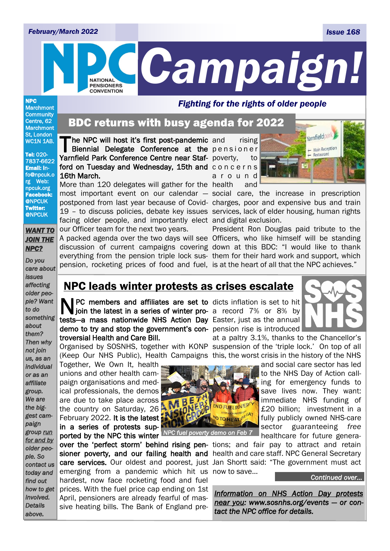#### *February/March 2022 Issue 168*



NPC **Marchmont Community** Centre, 62 **Marchmont** St, London WC1N 1AB.

Tel: 020- 7837-6622 Email: info@npcuk.o rg Web: npcuk.org Facebook: @NPCUK Twitter: @NPCUK

#### *WANT TO JOIN THE NPC?*

*Do you care about issues affecting older people? Want to do something about them? Then why not join us, as an individual or as an affiliate group. We are the biggest campaign group run for and by older people. So contact us today and find out how to get involved. Details* 

*above.*

### The NPC will host it's first post-pandemic<br>Biennial Delegate Conference at the Biennial Delegate Conference at the pensioner BDC returns with busy agenda for 2022

Yarnfield Park Conference Centre near Staf- poverty, to ford on Tuesday and Wednesday, 15th and concerns 16th March.

More than 120 delegates will gather for the health and most important event on our calendar — social care, the increase in prescription postponed from last year because of Covid-charges, poor and expensive bus and train 19 – to discuss policies, debate key issues services, lack of elder housing, human rights facing older people, and importantly elect and digital exclusion. our Officer team for the next two years.

pension, rocketing prices of food and fuel, is at the heart of all that the NPC achieves."

rising a r o u n d



A packed agenda over the two days will see Officers, who like himself will be standing discussion of current campaigns covering down at this BDC: "I would like to thank everything from the pension triple lock sus-them for their hard work and support, which President Ron Douglas paid tribute to the

### NPC leads winter protests as crises escalate

N PC members and affiliates are set to dicts inflation is set to hit join the latest in a series of winter pro- a record 7% or 8% by PC members and affiliates are set to dicts inflation is set to hit tests-a mass nationwide NHS Action Day Easter, just as the annual demo to try and stop the government's con- pension rise is introduced troversial Health and Care Bill.

Together, We Own It, health unions and other health campaign organisations and medical professionals, the demos are due to take place across the country on Saturday, 26 February 2022. It is the latest in a series of protests sup-

over the 'perfect storm' behind rising pen- tions; and fair pay to attract and retain emerging from a pandemic which hit us now to save... hardest, now face rocketing food and fuel prices. With the fuel price cap ending on 1st April, pensioners are already fearful of massive heating bills. The Bank of England pre-



Organised by SOSNHS, together with KONP suspension of the 'triple lock.' On top of all (Keep Our NHS Public), Health Campaigns this, the worst crisis in the history of the NHS at a paltry 3.1%, thanks to the Chancellor's

> and social care sector has led to the NHS Day of Action calling for emergency funds to save lives now. They want: immediate NHS funding of £20 billion; investment in a fully publicly owned NHS-care sector guaranteeing *free* healthcare for future genera-

sioner poverty, and our failing health and health and care staff. NPC General Secretary care services. Our oldest and poorest, just Jan Shortt said: "The government must act

*Continued over…* 

*Information on NHS Action Day protests near you: www.sosnhs.org/events — or contact the NPC office for details.*



ported by the NPC this winter *NPC fuel poverty demo on Feb 7*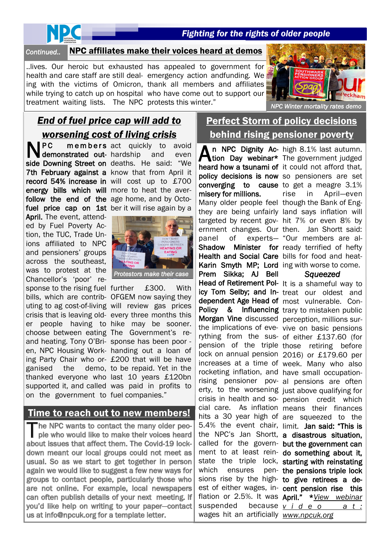## NDC

### *Fighting for the rights of older people*

### Continued.. NPC affiliates make their voices heard at demos

treatment waiting lists. The NPC protests this winter."

..lives. Our heroic but exhausted has appealed to government for health and care staff are still deal-emergency action andfunding. We ing with the victims of Omicron, thank all members and affiliates while trying to catch up on hospital who have come out to support our



*NPC Winter mortality rates demo* 

### *End of fuel price cap will add to worsening cost of living crisis*

**NPC** PC members act quickly to avoid energy bills which will more to heat the averfollow the end of the age home, and by Octo-April. The event, attended by Fuel Poverty Action, the TUC, Trade Unions affiliated to NPC and pensioners' groups across the southeast, was to protest at the Chancellor's 'poor' response to the rising fuel further £300. With choose between eating The Government's reand heating. Tony O'Bri-sponse has been poor ganised the on the government to fuel companies."

demonstrated out- hardship and even side Downing Street on deaths. He said: "We 7th February against a know that from April it record 54% increase in will cost up to £700 fuel price cap on 1st ber it will rise again by a



*Protestors make their case* 

bills, which are contrib-OFGEM now saying they uting to ag cost-of-living will review gas prices crisis that is leaving old-every three months this er people having to hike may be sooner. en, NPC Housing Work-handing out a loan of ing Party Chair who or-£200 that will be have thanked everyone who last 10 years £120bn supported it, and called was paid in profits to demo, to be repaid. Yet in the

### Time to reach out to new members!

he NPC wants to contact the many older people who would like to make their voices heard about issues that affect them. The Covid-19 lockdown meant our local groups could not meet as usual. So as we start to get together in person again we would like to suggest a few new ways for groups to contact people, particularly those who are not online. For example, local newspapers can often publish details of your next meeting. If you'd like help on writing to your paper-contact us at info@npcuk.org for a template letter.

### Perfect Storm of policy decisions behind rising pensioner poverty

An NPC Dignity Ac-<br>
Nuon Day webinar\* tion Day webinar\* heard how a tsunami of it could not afford that, policy decisions is now so pensioners are set converging to cause to get a meagre 3.1% misery for millions. Many older people feel though the Bank of Engthey are being unfairly land says inflation will targeted by recent gov-hit 7% or even 8% by ernment changes. Our then. Jan Shortt said: panel of experts— "Our members are al-Shadow Minister for ready terrified of hefty Health and Social Care bills for food and heat-Karin Smyth MP; Lord ing with worse to come. Prem Sikka; AJ Bell Head of Retirement Pol- It is a shameful way to icy Tom Selby; and In- treat our oldest and dependent Age Head of most vulnerable. Con-Policy & Influencing trary to mistaken public Morgan Vine discussed perception, millions surthe implications of eve-vive on basic pensions rything from the sus-of either £137.60 (for pension of the triple those retiring before lock on annual pension 2016) or £179.60 per increases at a time of week. Many who also rocketing inflation, and have small occupationrising pensioner pov-al pensions are often erty, to the worsening just above qualifying for crisis in health and so-pension credit which cial care. As inflation means their finances hits a 30 year high of are squeezed to the 5.4% the event chair, limit. Jan said: "This is the NPC's Jan Shortt, a disastrous situation, called for the govern- but the government can ment to at least rein- do something about it, state the triple lock, starting with reinstating which ensures sions rise by the high- to give retirees a deest of either wages, in- cent pension rise this flation or 2.5%. It was April." \**View webinar*  suspended wages hit an artificially *www.npcuk.org* 

high 8.1% last autumn. The government judged rise in April—even

#### *Squeezed*

pen- the pensions triple lock because v *i* d e o a t :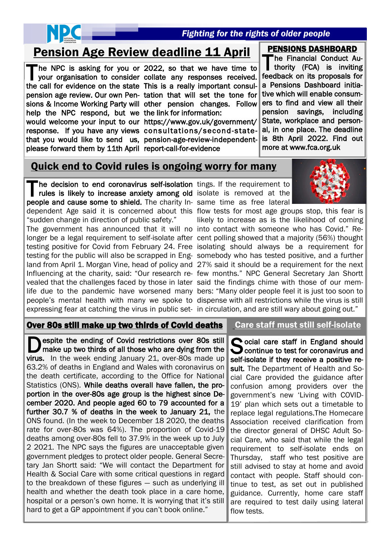

### *Fighting for the rights of older people*

### Pension Age Review deadline 11 April PENSIONS DASHBOARD

the call for evidence on the state This is a really important consulpension age review. Our own Pen-tation that will set the tone for sions & Income Working Party will other pension changes. Follow help the NPC respond, but we the link for information: please forward them by 11th April report-call-for-evidence

The NPC is asking for you or 2022, so that we have time to your organisation to consider collate any responses received. he NPC is asking for you or 2022, so that we have time to

would welcome your input to our https://www.gov.uk/government/ response. If you have any views consultations/second-statethat you would like to send us, pension-age-review-independent-

The Financial Conduct Authority (FCA) is inviting he Financial Conduct Aufeedback on its proposals for a Pensions Dashboard initiative which will enable consumers to find and view all their pension savings, including State, workplace and personal, in one place. The deadline is 8th April 2022. Find out more at www.fca.org.uk

### Quick end to Covid rules is ongoing worry for many

The decision to end coronavirus self-isolation tings. If the requirement to rules is likely to increase anxiety among old isolate is removed at the he decision to end coronavirus self-isolation tings. If the requirement to people and cause some to shield. The charity In- same time as free lateral dependent Age said it is concerned about this flow tests for most age groups stop, this fear is "sudden change in direction of public safety."

The government has announced that it will no into contact with someone who has Covid." Relonger be a legal requirement to self-isolate after cent polling showed that a majority (56%) thought testing positive for Covid from February 24. Free isolating should always be a requirement for testing for the public will also be scrapped in Eng-somebody who has tested positive, and a further land from April 1. Morgan Vine, head of policy and 27% said it should be a requirement for the next Influencing at the charity, said: "Our research re-few months." NPC General Secretary Jan Shortt vealed that the challenges faced by those in later said the findings chime with those of our memlife due to the pandemic have worsened many bers: "Many older people feel it is just too soon to people's mental health with many we spoke to dispense with all restrictions while the virus is still expressing fear at catching the virus in public set- in circulation, and are still wary about going out."

likely to increase as is the likelihood of coming

### Over 80s still make up two thirds of Covid deaths

 virus. In the week ending January 21, over-80s made up **D** espite the ending of Covid restrictions over 80s still make up two thirds of all those who are dying from the espite the ending of Covid restrictions over 80s still 63.2% of deaths in England and Wales with coronavirus on the death certificate, according to the Office for National Statistics (ONS). While deaths overall have fallen, the proportion in the over-80s age group is the highest since December 2020. And people aged 60 to 79 accounted for a further 30.7 % of deaths in the week to January 21, the ONS found. (In the week to December 18 2020, the deaths rate for over-80s was 64%). The proportion of Covid-19 deaths among over-80s fell to 37.9% in the week up to July 2 2021. The NPC says the figures are unacceptable given government pledges to protect older people. General Secretary Jan Shortt said: "We will contact the Department for Health & Social Care with some critical questions in regard to the breakdown of these figures — such as underlying ill health and whether the death took place in a care home, hospital or a person's own home. It is worrying that it's still hard to get a GP appointment if you can't book online."

### Care staff must still self-isolate

Social care staff in England should<br>Scontinue to test for coronavirus and Continue to test for coronavirus and self-isolate if they receive a positive result. The Department of Health and Social Care provided the guidance after confusion among providers over the government's new 'Living with COVID-19' plan which sets out a timetable to replace legal regulations.The Homecare Association received clarification from the director general of DHSC Adult Social Care, who said that while the legal requirement to self-isolate ends on Thursday, staff who test positive are still advised to stay at home and avoid contact with people. Staff should continue to test, as set out in published guidance. Currently, home care staff are required to test daily using lateral flow tests.